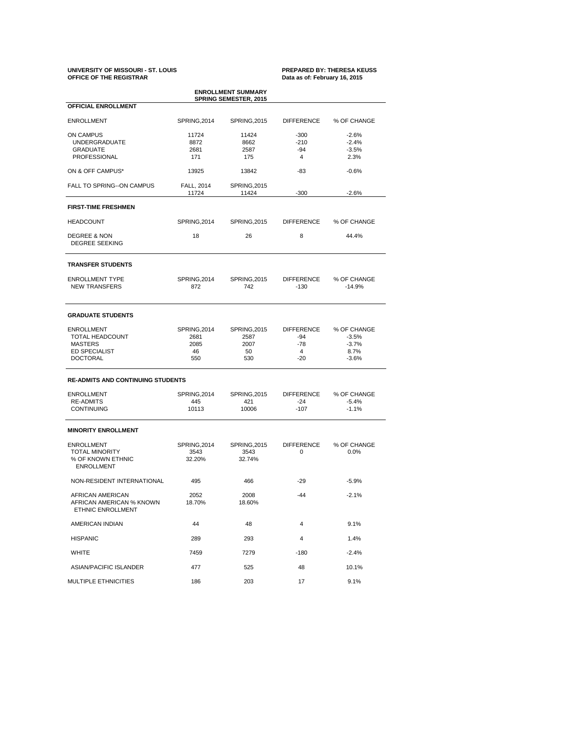# **UNIVERSITY OF MISSOURI - ST. LOUIS PREPARED BY: THERESA KEUSS OFFICE OF THE REGISTRAR Data as of: February 16, 2015**

| <b>ENROLLMENT SUMMARY</b><br><b>SPRING SEMESTER, 2015</b> |                                            |                              |                   |                         |  |  |  |  |
|-----------------------------------------------------------|--------------------------------------------|------------------------------|-------------------|-------------------------|--|--|--|--|
| <b>OFFICIAL ENROLLMENT</b>                                |                                            |                              |                   |                         |  |  |  |  |
| <b>ENROLLMENT</b>                                         | SPRING, 2014                               | SPRING, 2015                 | <b>DIFFERENCE</b> | % OF CHANGE             |  |  |  |  |
| ON CAMPUS                                                 | 11724                                      | 11424                        | $-300$            | $-2.6%$                 |  |  |  |  |
| <b>UNDERGRADUATE</b>                                      | 8872                                       | 8662                         | $-210$            | $-2.4%$                 |  |  |  |  |
| <b>GRADUATE</b>                                           | 2681                                       | 2587                         | -94               | $-3.5%$                 |  |  |  |  |
| PROFESSIONAL                                              | 171                                        | 175                          | 4                 | 2.3%                    |  |  |  |  |
| ON & OFF CAMPUS*                                          | 13925                                      | 13842                        | -83               | $-0.6%$                 |  |  |  |  |
| <b>FALL TO SPRING--ON CAMPUS</b>                          | FALL, 2014<br>11724                        | <b>SPRING, 2015</b><br>11424 | $-300$            | $-2.6%$                 |  |  |  |  |
|                                                           |                                            |                              |                   |                         |  |  |  |  |
| <b>FIRST-TIME FRESHMEN</b>                                |                                            |                              |                   |                         |  |  |  |  |
| <b>HEADCOUNT</b>                                          | SPRING, 2014                               | <b>SPRING, 2015</b>          | <b>DIFFERENCE</b> | % OF CHANGE             |  |  |  |  |
| <b>DEGREE &amp; NON</b><br><b>DEGREE SEEKING</b>          | 18                                         | 26                           |                   | 44.4%                   |  |  |  |  |
| <b>TRANSFER STUDENTS</b>                                  |                                            |                              |                   |                         |  |  |  |  |
| <b>ENROLLMENT TYPE</b>                                    |                                            |                              | <b>DIFFERENCE</b> |                         |  |  |  |  |
| <b>NEW TRANSFERS</b>                                      | SPRING, 2014<br>SPRING, 2015<br>872<br>742 |                              | $-130$            | % OF CHANGE<br>$-14.9%$ |  |  |  |  |
| <b>GRADUATE STUDENTS</b>                                  |                                            |                              |                   |                         |  |  |  |  |
| <b>ENROLLMENT</b>                                         | SPRING, 2014                               | <b>SPRING.2015</b>           | <b>DIFFERENCE</b> | % OF CHANGE             |  |  |  |  |
| TOTAL HEADCOUNT                                           | 2681                                       | 2587                         | -94               | $-3.5%$                 |  |  |  |  |
| <b>MASTERS</b>                                            | 2085                                       | 2007                         | $-78$             | $-3.7%$                 |  |  |  |  |
| <b>ED SPECIALIST</b>                                      | 46                                         | 50                           | 4                 | 8.7%                    |  |  |  |  |
| <b>DOCTORAL</b>                                           | 550                                        | 530                          | $-20$             | $-3.6%$                 |  |  |  |  |
| <b>RE-ADMITS AND CONTINUING STUDENTS</b>                  |                                            |                              |                   |                         |  |  |  |  |
| <b>ENROLLMENT</b>                                         | SPRING, 2014                               | <b>SPRING, 2015</b>          | <b>DIFFERENCE</b> | % OF CHANGE             |  |  |  |  |
| <b>RE-ADMITS</b>                                          | 445                                        | 421                          | -24               | $-5.4%$                 |  |  |  |  |
| <b>CONTINUING</b>                                         | 10113                                      | 10006                        | $-107$            | $-1.1%$                 |  |  |  |  |
| <b>MINORITY ENROLLMENT</b>                                |                                            |                              |                   |                         |  |  |  |  |
| <b>ENROLLMENT</b>                                         | SPRING, 2014                               | <b>SPRING.2015</b>           | <b>DIFFERENCE</b> | % OF CHANGE             |  |  |  |  |
| <b>TOTAL MINORITY</b>                                     | 3543                                       | 3543                         | 0                 | $0.0\%$                 |  |  |  |  |
| % OF KNOWN ETHNIC<br><b>ENROLLMENT</b>                    | 32.20%                                     | 32.74%                       |                   |                         |  |  |  |  |
| NON-RESIDENT INTERNATIONAL                                | 495                                        | 466                          | -29               | $-5.9%$                 |  |  |  |  |
| AFRICAN AMERICAN                                          | 2052                                       | 2008                         | $-44$             | $-2.1%$                 |  |  |  |  |
| AFRICAN AMERICAN % KNOWN<br>ETHNIC ENROLLMENT             | 18.70%                                     | 18.60%                       |                   |                         |  |  |  |  |
| AMERICAN INDIAN                                           | 44                                         | 48                           | 4                 | 9.1%                    |  |  |  |  |
| <b>HISPANIC</b>                                           | 289                                        | 293                          | 4                 | 1.4%                    |  |  |  |  |
| <b>WHITE</b>                                              | 7459                                       | 7279<br>$-180$               |                   | $-2.4%$                 |  |  |  |  |
| ASIAN/PACIFIC ISLANDER                                    | 477                                        | 525                          | 48                | 10.1%                   |  |  |  |  |
| MULTIPLE ETHNICITIES                                      | 186                                        | 203                          | 17                | 9.1%                    |  |  |  |  |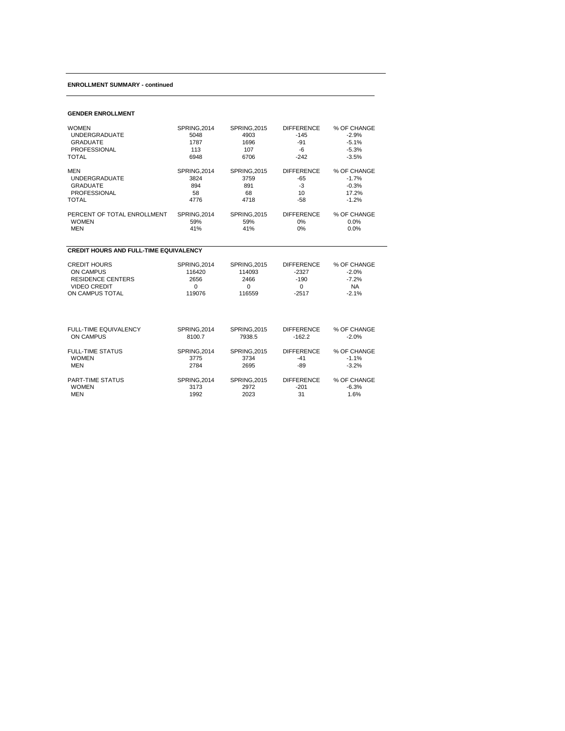#### **ENROLLMENT SUMMARY - continued**

#### **GENDER ENROLLMENT**

| <b>WOMEN</b>                                  | SPRING, 2014 | <b>SPRING, 2015</b> | <b>DIFFERENCE</b> | % OF CHANGE |  |  |  |  |
|-----------------------------------------------|--------------|---------------------|-------------------|-------------|--|--|--|--|
| <b>UNDERGRADUATE</b>                          | 5048         | 4903                | $-145$            | $-2.9%$     |  |  |  |  |
| <b>GRADUATE</b>                               | 1787         | 1696                | $-91$             | $-5.1%$     |  |  |  |  |
| <b>PROFESSIONAL</b>                           | 113          | 107                 | $-6$              | $-5.3%$     |  |  |  |  |
| TOTAL                                         | 6948         | 6706                | $-242$            | $-3.5%$     |  |  |  |  |
| <b>MEN</b>                                    | SPRING, 2014 | <b>SPRING, 2015</b> | <b>DIFFERENCE</b> | % OF CHANGE |  |  |  |  |
| <b>UNDERGRADUATE</b>                          | 3824         | 3759                | $-65$             | $-1.7%$     |  |  |  |  |
| <b>GRADUATE</b>                               | 894          | 891                 | $-3$              | $-0.3%$     |  |  |  |  |
| <b>PROFESSIONAL</b>                           | 58           | 68                  | 10                | 17.2%       |  |  |  |  |
| <b>TOTAL</b>                                  | 4776         | 4718                | $-58$             | $-1.2%$     |  |  |  |  |
| PERCENT OF TOTAL ENROLLMENT                   | SPRING, 2014 | <b>SPRING, 2015</b> | <b>DIFFERENCE</b> | % OF CHANGE |  |  |  |  |
| <b>WOMEN</b>                                  | 59%          | 59%                 | 0%                | 0.0%        |  |  |  |  |
| <b>MEN</b>                                    | 41%          | 41%                 | 0%                | 0.0%        |  |  |  |  |
| <b>CREDIT HOURS AND FULL-TIME EQUIVALENCY</b> |              |                     |                   |             |  |  |  |  |
| <b>CREDIT HOURS</b>                           | SPRING, 2014 | <b>SPRING, 2015</b> | <b>DIFFERENCE</b> | % OF CHANGE |  |  |  |  |
| <b>ON CAMPUS</b>                              | 116420       | 114093              | $-2327$           | $-2.0%$     |  |  |  |  |
| <b>RESIDENCE CENTERS</b>                      | 2656         | 2466                | $-190$            | $-7.2%$     |  |  |  |  |
| <b>VIDEO CREDIT</b>                           | 0            | $\mathbf 0$         | $\mathbf 0$       | <b>NA</b>   |  |  |  |  |
| ON CAMPUS TOTAL                               | 119076       | 116559              | $-2517$           | $-2.1%$     |  |  |  |  |
| FULL-TIME EQUIVALENCY                         | SPRING, 2014 | <b>SPRING, 2015</b> | <b>DIFFERENCE</b> | % OF CHANGE |  |  |  |  |
| <b>ON CAMPUS</b>                              | 8100.7       | 7938.5              | $-162.2$          | $-2.0%$     |  |  |  |  |
| <b>FULL-TIME STATUS</b>                       | SPRING, 2014 | <b>SPRING, 2015</b> | <b>DIFFERENCE</b> | % OF CHANGE |  |  |  |  |
| <b>WOMEN</b>                                  | 3775         | 3734                | $-41$             | $-1.1%$     |  |  |  |  |
| <b>MEN</b>                                    | 2784         | 2695                | $-89$             | $-3.2%$     |  |  |  |  |
| PART-TIME STATUS                              | SPRING, 2014 | <b>SPRING, 2015</b> | <b>DIFFERENCE</b> | % OF CHANGE |  |  |  |  |
| <b>WOMEN</b>                                  | 3173         | 2972                | $-201$            | $-6.3%$     |  |  |  |  |
| <b>MEN</b>                                    | 1992         | 2023                | 31                | 1.6%        |  |  |  |  |